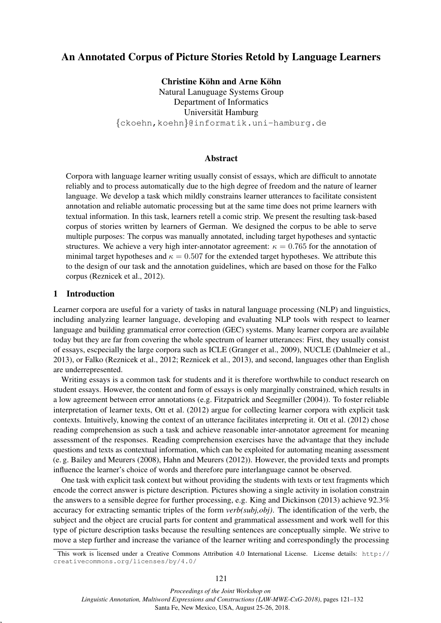# An Annotated Corpus of Picture Stories Retold by Language Learners

Christine Köhn and Arne Köhn Natural Lanuguage Systems Group Department of Informatics Universität Hamburg {[ckoehn,](mailto:ckoehn@informatik.uni-hamburg.de)[koehn](mailto:koehn@informatik.uni-hamburg.de)}@informatik.uni-hamburg.de

# Abstract

Corpora with language learner writing usually consist of essays, which are difficult to annotate reliably and to process automatically due to the high degree of freedom and the nature of learner language. We develop a task which mildly constrains learner utterances to facilitate consistent annotation and reliable automatic processing but at the same time does not prime learners with textual information. In this task, learners retell a comic strip. We present the resulting task-based corpus of stories written by learners of German. We designed the corpus to be able to serve multiple purposes: The corpus was manually annotated, including target hypotheses and syntactic structures. We achieve a very high inter-annotator agreement:  $\kappa = 0.765$  for the annotation of minimal target hypotheses and  $\kappa = 0.507$  for the extended target hypotheses. We attribute this to the design of our task and the annotation guidelines, which are based on those for the Falko corpus [\(Reznicek et al., 2012\)](#page-10-0).

#### 1 Introduction

,

Learner corpora are useful for a variety of tasks in natural language processing (NLP) and linguistics, including analyzing learner language, developing and evaluating NLP tools with respect to learner language and building grammatical error correction (GEC) systems. Many learner corpora are available today but they are far from covering the whole spectrum of learner utterances: First, they usually consist of essays, escpecially the large corpora such as ICLE [\(Granger et al., 2009\)](#page-9-0), NUCLE [\(Dahlmeier et al.,](#page-9-1) [2013\)](#page-9-1), or Falko [\(Reznicek et al., 2012;](#page-10-0) [Reznicek et al., 2013\)](#page-10-1), and second, languages other than English are underrepresented.

Writing essays is a common task for students and it is therefore worthwhile to conduct research on student essays. However, the content and form of essays is only marginally constrained, which results in a low agreement between error annotations (e.g. [Fitzpatrick and Seegmiller \(2004\)](#page-9-2)). To foster reliable interpretation of learner texts, [Ott et al. \(2012\)](#page-10-2) argue for collecting learner corpora with explicit task contexts. Intuitively, knowing the context of an utterance facilitates interpreting it. [Ott et al. \(2012\)](#page-10-2) chose reading comprehension as such a task and achieve reasonable inter-annotator agreement for meaning assessment of the responses. Reading comprehension exercises have the advantage that they include questions and texts as contextual information, which can be exploited for automating meaning assessment (e. g. [Bailey and Meurers \(2008\)](#page-9-3), [Hahn and Meurers \(2012\)](#page-10-3)). However, the provided texts and prompts influence the learner's choice of words and therefore pure interlanguage cannot be observed.

One task with explicit task context but without providing the students with texts or text fragments which encode the correct answer is picture description. Pictures showing a single activity in isolation constrain the answers to a sensible degree for further processing, e.g. [King and Dickinson \(2013\)](#page-10-4) achieve 92.3% accuracy for extracting semantic triples of the form *verb(subj,obj)*. The identification of the verb, the subject and the object are crucial parts for content and grammatical assessment and work well for this type of picture description tasks because the resulting sentences are conceptually simple. We strive to move a step further and increase the variance of the learner writing and correspondingly the processing

This work is licensed under a Creative Commons Attribution 4.0 International License. License details: [http://](http://creativecommons.org/licenses/by/4.0/) [creativecommons.org/licenses/by/4.0/](http://creativecommons.org/licenses/by/4.0/)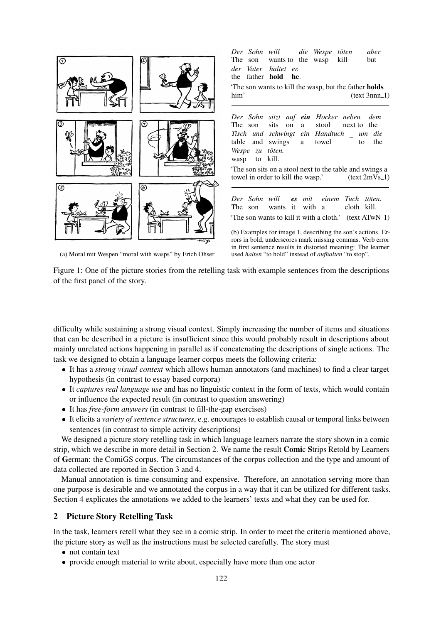<span id="page-1-1"></span>

(a) Moral mit Wespen "moral with wasps" by Erich Ohser

Figure 1: One of the picture stories from the retelling task with example sentences from the descriptions of the first panel of the story.

used *halten* "to hold" instead of *aufhalten* "to stop".

difficulty while sustaining a strong visual context. Simply increasing the number of items and situations that can be described in a picture is insufficient since this would probably result in descriptions about mainly unrelated actions happening in parallel as if concatenating the descriptions of single actions. The task we designed to obtain a language learner corpus meets the following criteria:

- It has a *strong visual context* which allows human annotators (and machines) to find a clear target hypothesis (in contrast to essay based corpora)
- It *captures real language use* and has no linguistic context in the form of texts, which would contain or influence the expected result (in contrast to question answering)
- It has *free-form answers* (in contrast to fill-the-gap exercises)
- It elicits a *variety of sentence structures*, e.g. encourages to establish causal or temporal links between sentences (in contrast to simple activity descriptions)

We designed a picture story retelling task in which language learners narrate the story shown in a comic strip, which we describe in more detail in Section [2.](#page-1-0) We name the result Comic Strips Retold by Learners of German: the ComiGS corpus. The circumstances of the corpus collection and the type and amount of data collected are reported in Section [3](#page-3-0) and [4.](#page-4-0)

Manual annotation is time-consuming and expensive. Therefore, an annotation serving more than one purpose is desirable and we annotated the corpus in a way that it can be utilized for different tasks. Section [4](#page-4-0) explicates the annotations we added to the learners' texts and what they can be used for.

## <span id="page-1-0"></span>2 Picture Story Retelling Task

In the task, learners retell what they see in a comic strip. In order to meet the criteria mentioned above, the picture story as well as the instructions must be selected carefully. The story must

- not contain text
- provide enough material to write about, especially have more than one actor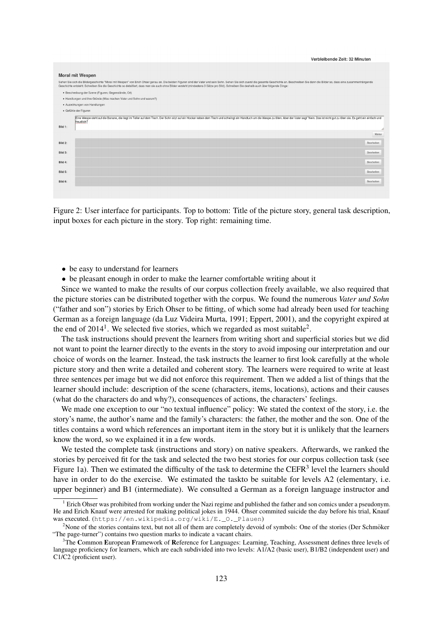<span id="page-2-3"></span>

|         | Verbleibende Zeit: 32 Minuten                                                                                                                                                                                                                                                                                                                                                                                             |        |
|---------|---------------------------------------------------------------------------------------------------------------------------------------------------------------------------------------------------------------------------------------------------------------------------------------------------------------------------------------------------------------------------------------------------------------------------|--------|
|         |                                                                                                                                                                                                                                                                                                                                                                                                                           |        |
|         | <b>Moral mit Wespen</b>                                                                                                                                                                                                                                                                                                                                                                                                   |        |
|         | Sehen Sie sich die Bildergeschichte "Moral mit Wespen" von Erich Ohser genau an. Die beiden Figuren sind der Vater und sein Sohn. Sehen Sie sich zuerst die gesamte Geschichte an. Beschreiben Sie dann die Bilder so, dass ei<br>Geschichte entsteht. Schreiben Sie die Geschichte so detailliert, dass man sie auch ohne Bilder versteht (mindestens 3 Sätze pro Bild). Schreiben Sie deshalb auch über folgende Dinge: |        |
|         | · Beschreibung der Szene (Figuren, Gegenstände, Ort)                                                                                                                                                                                                                                                                                                                                                                      |        |
|         | · Handlungen und ihre Gründe (Was machen Vater und Sohn und warum?)                                                                                                                                                                                                                                                                                                                                                       |        |
|         | · Auswirkungen von Handlungen                                                                                                                                                                                                                                                                                                                                                                                             |        |
|         | · Gefühle der Figuren                                                                                                                                                                                                                                                                                                                                                                                                     |        |
| Bild 1: | Eine Wespe steht auf die Banane, die liegt im Teller auf dem Tisch. Der Sohn sitzt auf ein Hocker neben dem Tisch und schwingt ein Handtuch um die Wespe zu töten. Aber der Vater sagt "Nein. Das ist nicht gut zu töten sie.<br>freudlich <sup>+</sup>                                                                                                                                                                   |        |
|         |                                                                                                                                                                                                                                                                                                                                                                                                                           | Weiter |
| Bild 2: | Bearbeiten                                                                                                                                                                                                                                                                                                                                                                                                                |        |
| Bild 3: | Bearbeiten                                                                                                                                                                                                                                                                                                                                                                                                                |        |
| Bild 4: | Bearbeiten                                                                                                                                                                                                                                                                                                                                                                                                                |        |
| Bild 5: | Bearbeiten                                                                                                                                                                                                                                                                                                                                                                                                                |        |
| Bild 6: | Bearbeiten                                                                                                                                                                                                                                                                                                                                                                                                                |        |
|         |                                                                                                                                                                                                                                                                                                                                                                                                                           |        |

Figure 2: User interface for participants. Top to bottom: Title of the picture story, general task description, input boxes for each picture in the story. Top right: remaining time.

- be easy to understand for learners
- be pleasant enough in order to make the learner comfortable writing about it

Since we wanted to make the results of our corpus collection freely available, we also required that the picture stories can be distributed together with the corpus. We found the numerous *Vater und Sohn* ("father and son") stories by Erich Ohser to be fitting, of which some had already been used for teaching German as a foreign language [\(da Luz Videira Murta, 1991;](#page-9-4) [Eppert, 2001\)](#page-9-5), and the copyright expired at the end of  $2014<sup>1</sup>$  $2014<sup>1</sup>$  $2014<sup>1</sup>$ . We selected five stories, which we regarded as most suitable<sup>[2](#page-2-1)</sup>.

The task instructions should prevent the learners from writing short and superficial stories but we did not want to point the learner directly to the events in the story to avoid imposing our interpretation and our choice of words on the learner. Instead, the task instructs the learner to first look carefully at the whole picture story and then write a detailed and coherent story. The learners were required to write at least three sentences per image but we did not enforce this requirement. Then we added a list of things that the learner should include: description of the scene (characters, items, locations), actions and their causes (what do the characters do and why?), consequences of actions, the characters' feelings.

We made one exception to our "no textual influence" policy: We stated the context of the story, i.e. the story's name, the author's name and the family's characters: the father, the mother and the son. One of the titles contains a word which references an important item in the story but it is unlikely that the learners know the word, so we explained it in a few words.

We tested the complete task (instructions and story) on native speakers. Afterwards, we ranked the stories by perceived fit for the task and selected the two best stories for our corpus collection task (see Figure [1a\)](#page-1-1). Then we estimated the difficulty of the task to determine the CEFR<sup>[3](#page-2-2)</sup> level the learners should have in order to do the exercise. We estimated the taskto be suitable for levels A2 (elementary, i.e. upper beginner) and B1 (intermediate). We consulted a German as a foreign language instructor and

<span id="page-2-0"></span><sup>1</sup> Erich Ohser was prohibited from working under the Nazi regime and published the father and son comics under a pseudonym. He and Erich Knauf were arrested for making political jokes in 1944. Ohser commited suicide the day before his trial, Knauf was executed. ([https://en.wikipedia.org/wiki/E.\\_O.\\_Plauen](https://en.wikipedia.org/wiki/E._O._Plauen))

<span id="page-2-1"></span><sup>&</sup>lt;sup>2</sup>None of the stories contains text, but not all of them are completely devoid of symbols: One of the stories (Der Schmöker "The page-turner") contains two question marks to indicate a vacant chairs.

<span id="page-2-2"></span><sup>&</sup>lt;sup>3</sup>The Common European Framework of Reference for Languages: Learning, Teaching, Assessment defines three levels of language proficiency for learners, which are each subdivided into two levels: A1/A2 (basic user), B1/B2 (independent user) and C1/C2 (proficient user).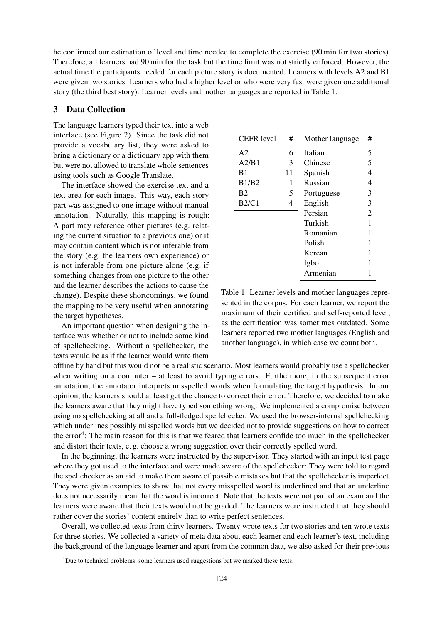he confirmed our estimation of level and time needed to complete the exercise (90 min for two stories). Therefore, all learners had 90 min for the task but the time limit was not strictly enforced. However, the actual time the participants needed for each picture story is documented. Learners with levels A2 and B1 were given two stories. Learners who had a higher level or who were very fast were given one additional story (the third best story). Learner levels and mother languages are reported in Table [1.](#page-3-1)

### <span id="page-3-0"></span>3 Data Collection

The language learners typed their text into a web interface (see Figure [2\)](#page-2-3). Since the task did not provide a vocabulary list, they were asked to bring a dictionary or a dictionary app with them but were not allowed to translate whole sentences using tools such as Google Translate.

The interface showed the exercise text and a text area for each image. This way, each story part was assigned to one image without manual annotation. Naturally, this mapping is rough: A part may reference other pictures (e.g. relating the current situation to a previous one) or it may contain content which is not inferable from the story (e.g. the learners own experience) or is not inferable from one picture alone (e.g. if something changes from one picture to the other and the learner describes the actions to cause the change). Despite these shortcomings, we found the mapping to be very useful when annotating the target hypotheses.

An important question when designing the interface was whether or not to include some kind of spellchecking. Without a spellchecker, the texts would be as if the learner would write them

<span id="page-3-1"></span>

| #  | Mother language | # |
|----|-----------------|---|
| 6  | Italian         | 5 |
| 3  | Chinese         | 5 |
| 11 | Spanish         |   |
| 1  | Russian         | 4 |
| 5  | Portuguese      | 3 |
| 4  | English         | 3 |
|    | Persian         | 2 |
|    | Turkish         |   |
|    | Romanian        |   |
|    | Polish          |   |
|    | Korean          |   |
|    | Igbo            |   |
|    | Armenian        |   |
|    |                 |   |

Table 1: Learner levels and mother languages represented in the corpus. For each learner, we report the maximum of their certified and self-reported level, as the certification was sometimes outdated. Some learners reported two mother languages (English and another language), in which case we count both.

offline by hand but this would not be a realistic scenario. Most learners would probably use a spellchecker when writing on a computer – at least to avoid typing errors. Furthermore, in the subsequent error annotation, the annotator interprets misspelled words when formulating the target hypothesis. In our opinion, the learners should at least get the chance to correct their error. Therefore, we decided to make the learners aware that they might have typed something wrong: We implemented a compromise between using no spellchecking at all and a full-fledged spellchecker. We used the browser-internal spellchecking which underlines possibly misspelled words but we decided not to provide suggestions on how to correct the error<sup>[4](#page-3-2)</sup>: The main reason for this is that we feared that learners confide too much in the spellchecker and distort their texts, e. g. choose a wrong suggestion over their correctly spelled word.

In the beginning, the learners were instructed by the supervisor. They started with an input test page where they got used to the interface and were made aware of the spellchecker: They were told to regard the spellchecker as an aid to make them aware of possible mistakes but that the spellchecker is imperfect. They were given examples to show that not every misspelled word is underlined and that an underline does not necessarily mean that the word is incorrect. Note that the texts were not part of an exam and the learners were aware that their texts would not be graded. The learners were instructed that they should rather cover the stories' content entirely than to write perfect sentences.

Overall, we collected texts from thirty learners. Twenty wrote texts for two stories and ten wrote texts for three stories. We collected a variety of meta data about each learner and each learner's text, including the background of the language learner and apart from the common data, we also asked for their previous

<span id="page-3-2"></span><sup>&</sup>lt;sup>4</sup>Due to technical problems, some learners used suggestions but we marked these texts.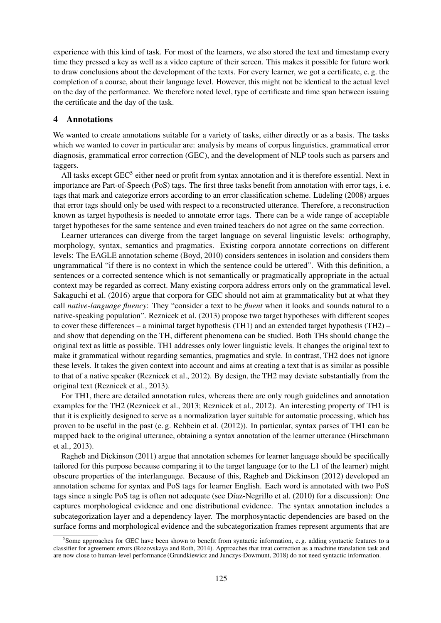experience with this kind of task. For most of the learners, we also stored the text and timestamp every time they pressed a key as well as a video capture of their screen. This makes it possible for future work to draw conclusions about the development of the texts. For every learner, we got a certificate, e. g. the completion of a course, about their language level. However, this might not be identical to the actual level on the day of the performance. We therefore noted level, type of certificate and time span between issuing the certificate and the day of the task.

### <span id="page-4-0"></span>4 Annotations

We wanted to create annotations suitable for a variety of tasks, either directly or as a basis. The tasks which we wanted to cover in particular are: analysis by means of corpus linguistics, grammatical error diagnosis, grammatical error correction (GEC), and the development of NLP tools such as parsers and taggers.

All tasks except GEC<sup>[5](#page-4-1)</sup> either need or profit from syntax annotation and it is therefore essential. Next in importance are Part-of-Speech (PoS) tags. The first three tasks benefit from annotation with error tags, i. e. tags that mark and categorize errors according to an error classification scheme. Lüdeling (2008) argues that error tags should only be used with respect to a reconstructed utterance. Therefore, a reconstruction known as target hypothesis is needed to annotate error tags. There can be a wide range of acceptable target hypotheses for the same sentence and even trained teachers do not agree on the same correction.

Learner utterances can diverge from the target language on several linguistic levels: orthography, morphology, syntax, semantics and pragmatics. Existing corpora annotate corrections on different levels: The EAGLE annotation scheme [\(Boyd, 2010\)](#page-9-6) considers sentences in isolation and considers them ungrammatical "if there is no context in which the sentence could be uttered". With this definition, a sentences or a corrected sentence which is not semantically or pragmatically appropriate in the actual context may be regarded as correct. Many existing corpora address errors only on the grammatical level. [Sakaguchi et al. \(2016\)](#page-11-0) argue that corpora for GEC should not aim at grammaticality but at what they call *native-language fluency*: They "consider a text to be *fluent* when it looks and sounds natural to a native-speaking population". [Reznicek et al. \(2013\)](#page-10-1) propose two target hypotheses with different scopes to cover these differences – a minimal target hypothesis (TH1) and an extended target hypothesis (TH2) – and show that depending on the TH, different phenomena can be studied. Both THs should change the original text as little as possible. TH1 addresses only lower linguistic levels. It changes the original text to make it grammatical without regarding semantics, pragmatics and style. In contrast, TH2 does not ignore these levels. It takes the given context into account and aims at creating a text that is as similar as possible to that of a native speaker [\(Reznicek et al., 2012\)](#page-10-0). By design, the TH2 may deviate substantially from the original text [\(Reznicek et al., 2013\)](#page-10-1).

For TH1, there are detailed annotation rules, whereas there are only rough guidelines and annotation examples for the TH2 [\(Reznicek et al., 2013;](#page-10-1) [Reznicek et al., 2012\)](#page-10-0). An interesting property of TH1 is that it is explicitly designed to serve as a normalization layer suitable for automatic processing, which has proven to be useful in the past (e. g. [Rehbein et al. \(2012\)](#page-10-6)). In particular, syntax parses of TH1 can be mapped back to the original utterance, obtaining a syntax annotation of the learner utterance [\(Hirschmann](#page-10-7) [et al., 2013\)](#page-10-7).

[Ragheb and Dickinson \(2011\)](#page-10-8) argue that annotation schemes for learner language should be specifically tailored for this purpose because comparing it to the target language (or to the L1 of the learner) might obscure properties of the interlanguage. Because of this, [Ragheb and Dickinson \(2012\)](#page-10-9) developed an annotation scheme for syntax and PoS tags for learner English. Each word is annotated with two PoS tags since a single PoS tag is often not adequate (see Díaz-Negrillo et al. (2010) for a discussion): One captures morphological evidence and one distributional evidence. The syntax annotation includes a subcategorization layer and a dependency layer. The morphosyntactic dependencies are based on the surface forms and morphological evidence and the subcategorization frames represent arguments that are

<span id="page-4-1"></span><sup>&</sup>lt;sup>5</sup> Some approaches for GEC have been shown to benefit from syntactic information, e.g. adding syntactic features to a classifier for agreement errors [\(Rozovskaya and Roth, 2014\)](#page-10-10). Approaches that treat correction as a machine translation task and are now close to human-level performance [\(Grundkiewicz and Junczys-Dowmunt, 2018\)](#page-10-11) do not need syntactic information.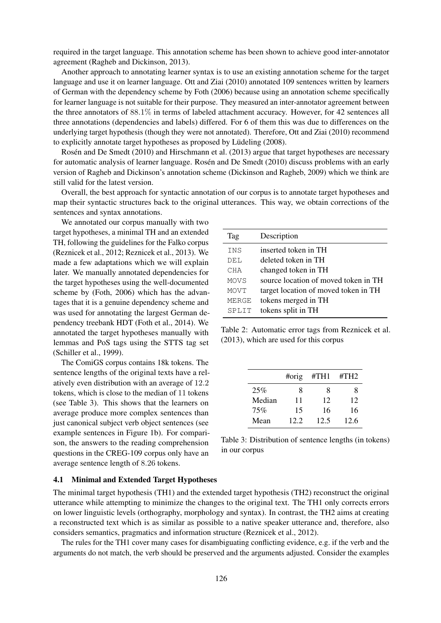required in the target language. This annotation scheme has been shown to achieve good inter-annotator agreement [\(Ragheb and Dickinson, 2013\)](#page-10-12).

Another approach to annotating learner syntax is to use an existing annotation scheme for the target language and use it on learner language. [Ott and Ziai \(2010\)](#page-10-13) annotated 109 sentences written by learners of German with the dependency scheme by [Foth \(2006\)](#page-9-8) because using an annotation scheme specifically for learner language is not suitable for their purpose. They measured an inter-annotator agreement between the three annotators of 88.1% in terms of labeled attachment accuracy. However, for 42 sentences all three annotations (dependencies and labels) differed. For 6 of them this was due to differences on the underlying target hypothesis (though they were not annotated). Therefore, [Ott and Ziai \(2010\)](#page-10-13) recommend to explicitly annotate target hypotheses as proposed by Lüdeling (2008).

Rosén and De Smedt (2010) and [Hirschmann et al. \(2013\)](#page-10-7) argue that target hypotheses are necessary for automatic analysis of learner language. [Rosen and De Smedt \(2010\)](#page-10-14) discuss problems with an early ´ version of Ragheb and Dickinson's annotation scheme [\(Dickinson and Ragheb, 2009\)](#page-9-9) which we think are still valid for the latest version.

Overall, the best approach for syntactic annotation of our corpus is to annotate target hypotheses and map their syntactic structures back to the original utterances. This way, we obtain corrections of the sentences and syntax annotations.

We annotated our corpus manually with two target hypotheses, a minimal TH and an extended TH, following the guidelines for the Falko corpus [\(Reznicek et al., 2012;](#page-10-0) [Reznicek et al., 2013\)](#page-10-1). We made a few adaptations which we will explain later. We manually annotated dependencies for the target hypotheses using the well-documented scheme by [\(Foth, 2006\)](#page-9-8) which has the advantages that it is a genuine dependency scheme and was used for annotating the largest German dependency treebank HDT [\(Foth et al., 2014\)](#page-9-10). We annotated the target hypotheses manually with lemmas and PoS tags using the STTS tag set [\(Schiller et al., 1999\)](#page-11-1).

The ComiGS corpus contains 18k tokens. The sentence lengths of the original texts have a relatively even distribution with an average of 12.2 tokens, which is close to the median of 11 tokens (see Table [3\)](#page-5-0). This shows that the learners on average produce more complex sentences than just canonical subject verb object sentences (see example sentences in Figure [1b\)](#page-1-1). For comparison, the answers to the reading comprehension questions in the CREG-109 corpus only have an average sentence length of 8.26 tokens.

<span id="page-5-1"></span>

| Tag          | Description                          |
|--------------|--------------------------------------|
| <b>INS</b>   | inserted token in TH                 |
| DEL          | deleted token in TH                  |
| CHA          | changed token in TH                  |
| <b>MOVS</b>  | source location of moved token in TH |
| MOVT         | target location of moved token in TH |
| <b>MERGE</b> | tokens merged in TH                  |
| SPLIT        | tokens split in TH                   |
|              |                                      |

Table 2: Automatic error tags from [Reznicek et al.](#page-10-1) [\(2013\)](#page-10-1), which are used for this corpus

<span id="page-5-0"></span>

|        | #orig | #TH1 | $\#TH2$ |
|--------|-------|------|---------|
| 25%    | 8     | 8    | x       |
| Median | 11    | 12   | 12      |
| 75%    | 15    | 16   | 16      |
| Mean   | 12.2. | 12.5 | 12.6    |

Table 3: Distribution of sentence lengths (in tokens) in our corpus

#### 4.1 Minimal and Extended Target Hypotheses

The minimal target hypothesis (TH1) and the extended target hypothesis (TH2) reconstruct the original utterance while attempting to minimize the changes to the original text. The TH1 only corrects errors on lower linguistic levels (orthography, morphology and syntax). In contrast, the TH2 aims at creating a reconstructed text which is as similar as possible to a native speaker utterance and, therefore, also considers semantics, pragmatics and information structure [\(Reznicek et al., 2012\)](#page-10-0).

The rules for the TH1 cover many cases for disambiguating conflicting evidence, e.g. if the verb and the arguments do not match, the verb should be preserved and the arguments adjusted. Consider the examples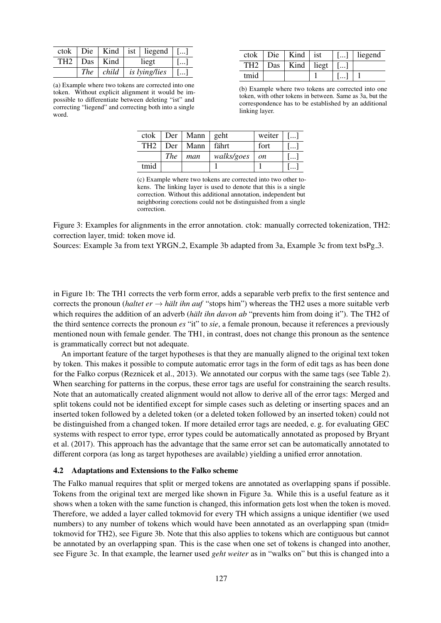<span id="page-6-0"></span>

|  |                                            | ctok   Die   Kind   ist   liegend   []         |      |
|--|--------------------------------------------|------------------------------------------------|------|
|  | TH2 $\vert$ Das $\vert$ Kind $\vert$ liegt |                                                | . 11 |
|  |                                            | The child is lying/lies $\lceil \ldots \rceil$ |      |

(a) Example where two tokens are corrected into one token. Without explicit alignment it would be impossible to differentiate between deleting "ist" and correcting "liegend" and correcting both into a single word.

|      | $ctok$   Die   Kind   ist                         |                       | $\lceil$ []   liegend |
|------|---------------------------------------------------|-----------------------|-----------------------|
|      | $\overline{\text{TH2}}$   Das   Kind   liegt   [] |                       |                       |
| tmid |                                                   | $\lceil \dots \rceil$ |                       |

(b) Example where two tokens are corrected into one token, with other tokens in between. Same as [3a,](#page-6-0) but the correspondence has to be established by an additional linking layer.

| ctok            |            | $Der$   Mann   geht |            | weiter $ $ [] |      |
|-----------------|------------|---------------------|------------|---------------|------|
| TH <sub>2</sub> | Der        | Mann                | fährt      | fort          | ا …ا |
|                 | <b>The</b> | man                 | walks/goes | <sub>on</sub> |      |
| tmid            |            |                     |            |               |      |

(c) Example where two tokens are corrected into two other tokens. The linking layer is used to denote that this is a single correction. Without this additional annotation, independent but neighboring corections could not be distinguished from a single correction.

Figure 3: Examples for alignments in the error annotation. ctok: manually corrected tokenization, TH2: correction layer, tmid: token move id.

Sources: Example [3a](#page-6-0) from text YRGN<sub>-2</sub>, Example [3b](#page-6-0) adapted from [3a,](#page-6-0) Example [3c](#page-6-0) from text bsPg<sub>-3</sub>.

in Figure [1b:](#page-1-1) The TH1 corrects the verb form error, adds a separable verb prefix to the first sentence and corrects the pronoun (*haltet er*  $\rightarrow$  *hält ihn auf* "stops him") whereas the TH2 uses a more suitable verb which requires the addition of an adverb (*hält ihn davon ab* "prevents him from doing it"). The TH2 of the third sentence corrects the pronoun *es* "it" to *sie*, a female pronoun, because it references a previously mentioned noun with female gender. The TH1, in contrast, does not change this pronoun as the sentence is grammatically correct but not adequate.

An important feature of the target hypotheses is that they are manually aligned to the original text token by token. This makes it possible to compute automatic error tags in the form of edit tags as has been done for the Falko corpus [\(Reznicek et al., 2013\)](#page-10-1). We annotated our corpus with the same tags (see Table [2\)](#page-5-1). When searching for patterns in the corpus, these error tags are useful for constraining the search results. Note that an automatically created alignment would not allow to derive all of the error tags: Merged and split tokens could not be identified except for simple cases such as deleting or inserting spaces and an inserted token followed by a deleted token (or a deleted token followed by an inserted token) could not be distinguished from a changed token. If more detailed error tags are needed, e. g. for evaluating GEC systems with respect to error type, error types could be automatically annotated as proposed by [Bryant](#page-9-11) [et al. \(2017\)](#page-9-11). This approach has the advantage that the same error set can be automatically annotated to different corpora (as long as target hypotheses are available) yielding a unified error annotation.

#### 4.2 Adaptations and Extensions to the Falko scheme

The Falko manual requires that split or merged tokens are annotated as overlapping spans if possible. Tokens from the original text are merged like shown in Figure [3a.](#page-6-0) While this is a useful feature as it shows when a token with the same function is changed, this information gets lost when the token is moved. Therefore, we added a layer called tokmovid for every TH which assigns a unique identifier (we used numbers) to any number of tokens which would have been annotated as an overlapping span (tmid= tokmovid for TH2), see Figure [3b.](#page-6-0) Note that this also applies to tokens which are contiguous but cannot be annotated by an overlapping span. This is the case when one set of tokens is changed into another, see Figure [3c.](#page-6-0) In that example, the learner used *geht weiter* as in "walks on" but this is changed into a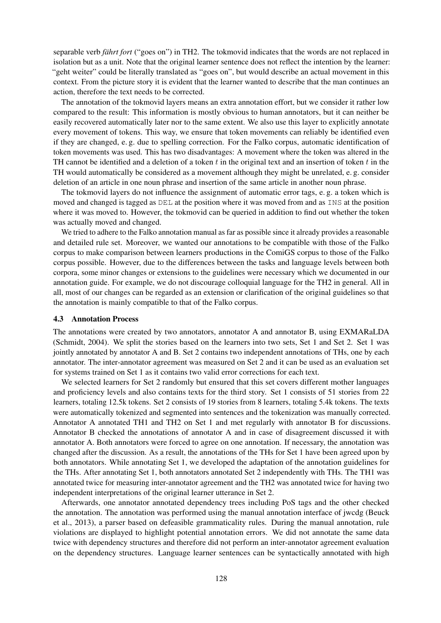separable verb *fährt fort* ("goes on") in TH2. The tokmovid indicates that the words are not replaced in isolation but as a unit. Note that the original learner sentence does not reflect the intention by the learner: "geht weiter" could be literally translated as "goes on", but would describe an actual movement in this context. From the picture story it is evident that the learner wanted to describe that the man continues an action, therefore the text needs to be corrected.

The annotation of the tokmovid layers means an extra annotation effort, but we consider it rather low compared to the result: This information is mostly obvious to human annotators, but it can neither be easily recovered automatically later nor to the same extent. We also use this layer to explicitly annotate every movement of tokens. This way, we ensure that token movements can reliably be identified even if they are changed, e. g. due to spelling correction. For the Falko corpus, automatic identification of token movements was used. This has two disadvantages: A movement where the token was altered in the TH cannot be identified and a deletion of a token t in the original text and an insertion of token t in the TH would automatically be considered as a movement although they might be unrelated, e. g. consider deletion of an article in one noun phrase and insertion of the same article in another noun phrase.

The tokmovid layers do not influence the assignment of automatic error tags, e. g. a token which is moved and changed is tagged as DEL at the position where it was moved from and as INS at the position where it was moved to. However, the tokmovid can be queried in addition to find out whether the token was actually moved and changed.

We tried to adhere to the Falko annotation manual as far as possible since it already provides a reasonable and detailed rule set. Moreover, we wanted our annotations to be compatible with those of the Falko corpus to make comparison between learners productions in the ComiGS corpus to those of the Falko corpus possible. However, due to the differences between the tasks and language levels between both corpora, some minor changes or extensions to the guidelines were necessary which we documented in our annotation guide. For example, we do not discourage colloquial language for the TH2 in general. All in all, most of our changes can be regarded as an extension or clarification of the original guidelines so that the annotation is mainly compatible to that of the Falko corpus.

#### 4.3 Annotation Process

The annotations were created by two annotators, annotator A and annotator B, using EXMARaLDA [\(Schmidt, 2004\)](#page-11-2). We split the stories based on the learners into two sets, Set 1 and Set 2. Set 1 was jointly annotated by annotator A and B. Set 2 contains two independent annotations of THs, one by each annotator. The inter-annotator agreement was measured on Set 2 and it can be used as an evaluation set for systems trained on Set 1 as it contains two valid error corrections for each text.

We selected learners for Set 2 randomly but ensured that this set covers different mother languages and proficiency levels and also contains texts for the third story. Set 1 consists of 51 stories from 22 learners, totaling 12.5k tokens. Set 2 consists of 19 stories from 8 learners, totaling 5.4k tokens. The texts were automatically tokenized and segmented into sentences and the tokenization was manually corrected. Annotator A annotated TH1 and TH2 on Set 1 and met regularly with annotator B for discussions. Annotator B checked the annotations of annotator A and in case of disagreement discussed it with annotator A. Both annotators were forced to agree on one annotation. If necessary, the annotation was changed after the discussion. As a result, the annotations of the THs for Set 1 have been agreed upon by both annotators. While annotating Set 1, we developed the adaptation of the annotation guidelines for the THs. After annotating Set 1, both annotators annotated Set 2 independently with THs. The TH1 was annotated twice for measuring inter-annotator agreement and the TH2 was annotated twice for having two independent interpretations of the original learner utterance in Set 2.

Afterwards, one annotator annotated dependency trees including PoS tags and the other checked the annotation. The annotation was performed using the manual annotation interface of jwcdg [\(Beuck](#page-9-12) [et al., 2013\)](#page-9-12), a parser based on defeasible grammaticality rules. During the manual annotation, rule violations are displayed to highlight potential annotation errors. We did not annotate the same data twice with dependency structures and therefore did not perform an inter-annotator agreement evaluation on the dependency structures. Language learner sentences can be syntactically annotated with high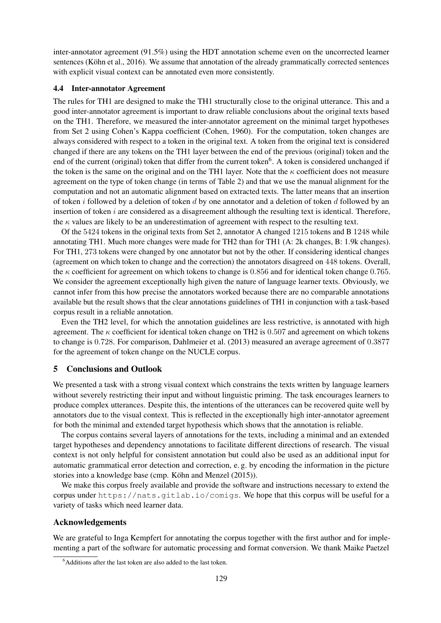inter-annotator agreement (91.5%) using the HDT annotation scheme even on the uncorrected learner sentences (Köhn et al., 2016). We assume that annotation of the already grammatically corrected sentences with explicit visual context can be annotated even more consistently.

#### 4.4 Inter-annotator Agreement

The rules for TH1 are designed to make the TH1 structurally close to the original utterance. This and a good inter-annotator agreement is important to draw reliable conclusions about the original texts based on the TH1. Therefore, we measured the inter-annotator agreement on the minimal target hypotheses from Set 2 using Cohen's Kappa coefficient [\(Cohen, 1960\)](#page-9-13). For the computation, token changes are always considered with respect to a token in the original text. A token from the original text is considered changed if there are any tokens on the TH1 layer between the end of the previous (original) token and the end of the current (original) token that differ from the current token<sup>[6](#page-8-0)</sup>. A token is considered unchanged if the token is the same on the original and on the TH1 layer. Note that the  $\kappa$  coefficient does not measure agreement on the type of token change (in terms of Table [2\)](#page-5-1) and that we use the manual alignment for the computation and not an automatic alignment based on extracted texts. The latter means that an insertion of token i followed by a deletion of token d by one annotator and a deletion of token d followed by an insertion of token  $i$  are considered as a disagreement although the resulting text is identical. Therefore, the  $\kappa$  values are likely to be an underestimation of agreement with respect to the resulting text.

Of the 5424 tokens in the original texts from Set 2, annotator A changed 1215 tokens and B 1248 while annotating TH1. Much more changes were made for TH2 than for TH1 (A: 2k changes, B: 1.9k changes). For TH1, 273 tokens were changed by one annotator but not by the other. If considering identical changes (agreement on which token to change and the correction) the annotators disagreed on 448 tokens. Overall, the  $\kappa$  coefficient for agreement on which tokens to change is 0.856 and for identical token change 0.765. We consider the agreement exceptionally high given the nature of language learner texts. Obviously, we cannot infer from this how precise the annotators worked because there are no comparable annotations available but the result shows that the clear annotations guidelines of TH1 in conjunction with a task-based corpus result in a reliable annotation.

Even the TH2 level, for which the annotation guidelines are less restrictive, is annotated with high agreement. The  $\kappa$  coefficient for identical token change on TH2 is 0.507 and agreement on which tokens to change is 0.728. For comparison, [Dahlmeier et al. \(2013\)](#page-9-1) measured an average agreement of 0.3877 for the agreement of token change on the NUCLE corpus.

### 5 Conclusions and Outlook

We presented a task with a strong visual context which constrains the texts written by language learners without severely restricting their input and without linguistic priming. The task encourages learners to produce complex utterances. Despite this, the intentions of the utterances can be recovered quite well by annotators due to the visual context. This is reflected in the exceptionally high inter-annotator agreement for both the minimal and extended target hypothesis which shows that the annotation is reliable.

The corpus contains several layers of annotations for the texts, including a minimal and an extended target hypotheses and dependency annotations to facilitate different directions of research. The visual context is not only helpful for consistent annotation but could also be used as an additional input for automatic grammatical error detection and correction, e. g. by encoding the information in the picture stories into a knowledge base (cmp. Köhn and Menzel (2015)).

We make this corpus freely available and provide the software and instructions necessary to extend the corpus under <https://nats.gitlab.io/comigs>. We hope that this corpus will be useful for a variety of tasks which need learner data.

# Acknowledgements

We are grateful to Inga Kempfert for annotating the corpus together with the first author and for implementing a part of the software for automatic processing and format conversion. We thank Maike Paetzel

<span id="page-8-0"></span><sup>&</sup>lt;sup>6</sup>Additions after the last token are also added to the last token.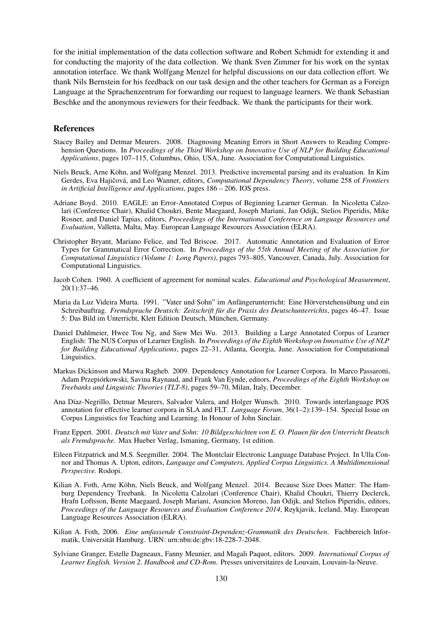for the initial implementation of the data collection software and Robert Schmidt for extending it and for conducting the majority of the data collection. We thank Sven Zimmer for his work on the syntax annotation interface. We thank Wolfgang Menzel for helpful discussions on our data collection effort. We thank Nils Bernstein for his feedback on our task design and the other teachers for German as a Foreign Language at the Sprachenzentrum for forwarding our request to language learners. We thank Sebastian Beschke and the anonymous reviewers for their feedback. We thank the participants for their work.

#### References

- <span id="page-9-3"></span>Stacey Bailey and Detmar Meurers. 2008. Diagnosing Meaning Errors in Short Answers to Reading Comprehension Questions. In *Proceedings of the Third Workshop on Innovative Use of NLP for Building Educational Applications*, pages 107–115, Columbus, Ohio, USA, June. Association for Computational Linguistics.
- <span id="page-9-12"></span>Niels Beuck, Arne Kohn, and Wolfgang Menzel. 2013. Predictive incremental parsing and its evaluation. In Kim ¨ Gerdes, Eva Hajičová, and Leo Wanner, editors, *Computational Dependency Theory*, volume 258 of *Frontiers in Artificial Intelligence and Applications*, pages 186 – 206. IOS press.
- <span id="page-9-6"></span>Adriane Boyd. 2010. EAGLE: an Error-Annotated Corpus of Beginning Learner German. In Nicoletta Calzolari (Conference Chair), Khalid Choukri, Bente Maegaard, Joseph Mariani, Jan Odijk, Stelios Piperidis, Mike Rosner, and Daniel Tapias, editors, *Proceedings of the International Conference on Language Resources and Evaluation*, Valletta, Malta, May. European Language Resources Association (ELRA).
- <span id="page-9-11"></span>Christopher Bryant, Mariano Felice, and Ted Briscoe. 2017. Automatic Annotation and Evaluation of Error Types for Grammatical Error Correction. In *Proceedings of the 55th Annual Meeting of the Association for Computational Linguistics (Volume 1: Long Papers)*, pages 793–805, Vancouver, Canada, July. Association for Computational Linguistics.
- <span id="page-9-13"></span>Jacob Cohen. 1960. A coefficient of agreement for nominal scales. *Educational and Psychological Measurement*, 20(1):37–46.
- <span id="page-9-4"></span>Maria da Luz Videira Murta. 1991. "Vater und Sohn" im Anfängerunterricht: Eine Hörverstehensübung und ein Schreibauftrag. *Fremdsprache Deutsch: Zeitschrift für die Praxis des Deutschunterrichts*, pages 46–47. Issue 5: Das Bild im Unterricht, Klett Edition Deutsch, München, Germany.
- <span id="page-9-1"></span>Daniel Dahlmeier, Hwee Tou Ng, and Siew Mei Wu. 2013. Building a Large Annotated Corpus of Learner English: The NUS Corpus of Learner English. In *Proceedings of the Eighth Workshop on Innovative Use of NLP for Building Educational Applications*, pages 22–31, Atlanta, Georgia, June. Association for Computational Linguistics.
- <span id="page-9-9"></span>Markus Dickinson and Marwa Ragheb. 2009. Dependency Annotation for Learner Corpora. In Marco Passarotti, Adam Przepiorkowski, Savina Raynaud, and Frank Van Eynde, editors, ´ *Proceedings of the Eighth Workshop on Treebanks and Linguistic Theories (TLT-8)*, pages 59–70, Milan, Italy, December.
- <span id="page-9-7"></span>Ana Díaz-Negrillo, Detmar Meurers, Salvador Valera, and Holger Wunsch. 2010. Towards interlanguage POS annotation for effective learner corpora in SLA and FLT. *Language Forum*, 36(1–2):139–154. Special Issue on Corpus Linguistics for Teaching and Learning. In Honour of John Sinclair.
- <span id="page-9-5"></span>Franz Eppert. 2001. *Deutsch mit Vater und Sohn: 10 Bildgeschichten von E. O. Plauen fur den Unterricht Deutsch ¨ als Fremdsprache*. Max Hueber Verlag, Ismaning, Germany, 1st edition.
- <span id="page-9-2"></span>Eileen Fitzpatrick and M.S. Seegmiller. 2004. The Montclair Electronic Language Database Project. In Ulla Connor and Thomas A. Upton, editors, *Language and Computers, Applied Corpus Linguistics. A Multidimensional Perspective.* Rodopi.
- <span id="page-9-10"></span>Kilian A. Foth, Arne Köhn, Niels Beuck, and Wolfgang Menzel. 2014. Because Size Does Matter: The Hamburg Dependency Treebank. In Nicoletta Calzolari (Conference Chair), Khalid Choukri, Thierry Declerck, Hrafn Loftsson, Bente Maegaard, Joseph Mariani, Asuncion Moreno, Jan Odijk, and Stelios Piperidis, editors, *Proceedings of the Language Resources and Evaluation Conference 2014*, Reykjavik, Iceland, May. European Language Resources Association (ELRA).
- <span id="page-9-8"></span>Kilian A. Foth, 2006. *Eine umfassende Constraint-Dependenz-Grammatik des Deutschen*. Fachbereich Informatik, Universität Hamburg. URN: urn:nbn:de:gbv:18-228-7-2048.
- <span id="page-9-0"></span>Sylviane Granger, Estelle Dagneaux, Fanny Meunier, and Magali Paquot, editors. 2009. *International Corpus of Learner English. Version 2. Handbook and CD-Rom*. Presses universitaires de Louvain, Louvain-la-Neuve.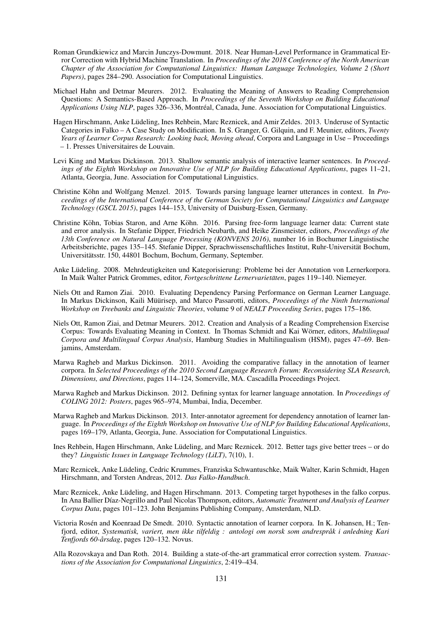- <span id="page-10-11"></span>Roman Grundkiewicz and Marcin Junczys-Dowmunt. 2018. Near Human-Level Performance in Grammatical Error Correction with Hybrid Machine Translation. In *Proceedings of the 2018 Conference of the North American Chapter of the Association for Computational Linguistics: Human Language Technologies, Volume 2 (Short Papers)*, pages 284–290. Association for Computational Linguistics.
- <span id="page-10-3"></span>Michael Hahn and Detmar Meurers. 2012. Evaluating the Meaning of Answers to Reading Comprehension Questions: A Semantics-Based Approach. In *Proceedings of the Seventh Workshop on Building Educational Applications Using NLP*, pages 326–336, Montréal, Canada, June. Association for Computational Linguistics.
- <span id="page-10-7"></span>Hagen Hirschmann, Anke Ludeling, Ines Rehbein, Marc Reznicek, and Amir Zeldes. 2013. Underuse of Syntactic ¨ Categories in Falko – A Case Study on Modification. In S. Granger, G. Gilquin, and F. Meunier, editors, *Twenty Years of Learner Corpus Research: Looking back, Moving ahead*, Corpora and Language in Use – Proceedings – 1. Presses Universitaires de Louvain.
- <span id="page-10-4"></span>Levi King and Markus Dickinson. 2013. Shallow semantic analysis of interactive learner sentences. In *Proceedings of the Eighth Workshop on Innovative Use of NLP for Building Educational Applications*, pages 11–21, Atlanta, Georgia, June. Association for Computational Linguistics.
- <span id="page-10-16"></span>Christine Köhn and Wolfgang Menzel. 2015. Towards parsing language learner utterances in context. In *Proceedings of the International Conference of the German Society for Computational Linguistics and Language Technology (GSCL 2015)*, pages 144–153, University of Duisburg-Essen, Germany.
- <span id="page-10-15"></span>Christine Köhn, Tobias Staron, and Arne Köhn. 2016. Parsing free-form language learner data: Current state and error analysis. In Stefanie Dipper, Friedrich Neubarth, and Heike Zinsmeister, editors, *Proceedings of the 13th Conference on Natural Language Processing (KONVENS 2016)*, number 16 in Bochumer Linguistische Arbeitsberichte, pages 135–145. Stefanie Dipper, Sprachwissenschaftliches Institut, Ruhr-Universitat Bochum, ¨ Universitatsstr. 150, 44801 Bochum, Bochum, Germany, September. ¨
- <span id="page-10-5"></span>Anke Ludeling. 2008. Mehrdeutigkeiten und Kategorisierung: Probleme bei der Annotation von Lernerkorpora. ¨ In Maik Walter Patrick Grommes, editor, *Fortgeschrittene Lernervarietäten*, pages 119–140. Niemeyer.
- <span id="page-10-13"></span>Niels Ott and Ramon Ziai. 2010. Evaluating Dependency Parsing Performance on German Learner Language. In Markus Dickinson, Kaili Müürisep, and Marco Passarotti, editors, *Proceedings of the Ninth International Workshop on Treebanks and Linguistic Theories*, volume 9 of *NEALT Proceeding Series*, pages 175–186.
- <span id="page-10-2"></span>Niels Ott, Ramon Ziai, and Detmar Meurers. 2012. Creation and Analysis of a Reading Comprehension Exercise Corpus: Towards Evaluating Meaning in Context. In Thomas Schmidt and Kai Wörner, editors, *Multilingual Corpora and Multilingual Corpus Analysis*, Hamburg Studies in Multilingualism (HSM), pages 47–69. Benjamins, Amsterdam.
- <span id="page-10-8"></span>Marwa Ragheb and Markus Dickinson. 2011. Avoiding the comparative fallacy in the annotation of learner corpora. In *Selected Proceedings of the 2010 Second Language Research Forum: Reconsidering SLA Research, Dimensions, and Directions*, pages 114–124, Somerville, MA. Cascadilla Proceedings Project.
- <span id="page-10-9"></span>Marwa Ragheb and Markus Dickinson. 2012. Defining syntax for learner language annotation. In *Proceedings of COLING 2012: Posters*, pages 965–974, Mumbai, India, December.
- <span id="page-10-12"></span>Marwa Ragheb and Markus Dickinson. 2013. Inter-annotator agreement for dependency annotation of learner language. In *Proceedings of the Eighth Workshop on Innovative Use of NLP for Building Educational Applications*, pages 169–179, Atlanta, Georgia, June. Association for Computational Linguistics.
- <span id="page-10-6"></span>Ines Rehbein, Hagen Hirschmann, Anke Lüdeling, and Marc Reznicek. 2012. Better tags give better trees – or do they? *Linguistic Issues in Language Technology (LiLT)*, 7(10), 1.
- <span id="page-10-0"></span>Marc Reznicek, Anke Ludeling, Cedric Krummes, Franziska Schwantuschke, Maik Walter, Karin Schmidt, Hagen ¨ Hirschmann, and Torsten Andreas, 2012. *Das Falko-Handbuch*.
- <span id="page-10-1"></span>Marc Reznicek, Anke Lüdeling, and Hagen Hirschmann. 2013. Competing target hypotheses in the falko corpus. In Ana Ballier D´ıaz-Negrillo and Paul Nicolas Thompson, editors, *Automatic Treatment and Analysis of Learner Corpus Data*, pages 101–123. John Benjamins Publishing Company, Amsterdam, NLD.
- <span id="page-10-14"></span>Victoria Rosen and Koenraad De Smedt. 2010. Syntactic annotation of learner corpora. In K. Johansen, H.; Ten- ´ fjord, editor, *Systematisk, variert, men ikke tilfeldig : antologi om norsk som andresprak i anledning Kari ˚ Tenfjords 60-årsdag*, pages 120–132. Novus.
- <span id="page-10-10"></span>Alla Rozovskaya and Dan Roth. 2014. Building a state-of-the-art grammatical error correction system. *Transactions of the Association for Computational Linguistics*, 2:419–434.